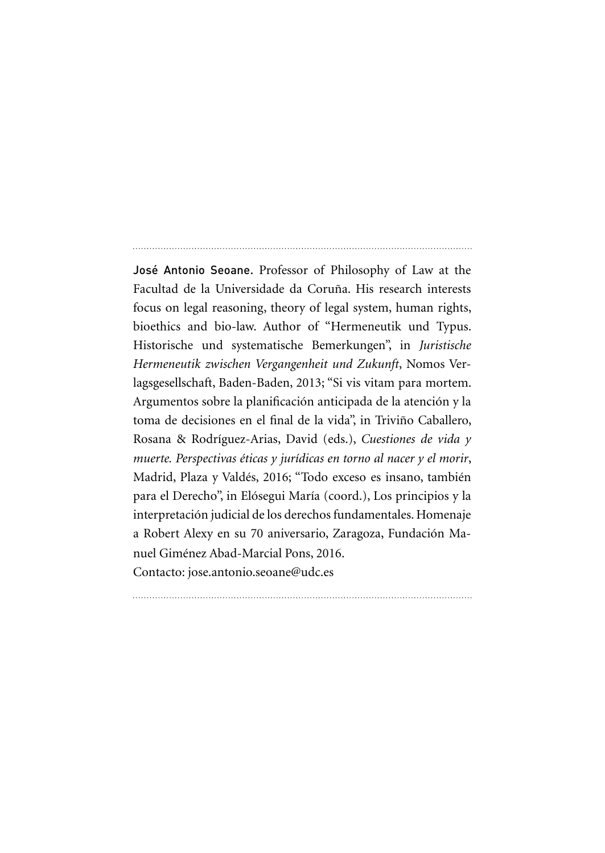José Antonio Seoane. Professor of Philosophy of Law at the Facultad de la Universidade da Coruña. His research interests focus on legal reasoning, theory of legal system, human rights, bioethics and bio-law. Author of "Hermeneutik und Typus. Historische und systematische Bemerkungen", in *Juristische Hermeneutik zwischen Vergangenheit und Zukunft*, Nomos Verlagsgesellschaft, Baden-Baden, 2013; "Si vis vitam para mortem. Argumentos sobre la planificación anticipada de la atención y la toma de decisiones en el final de la vida", in Triviño Caballero, Rosana & Rodríguez-Arias, David (eds.), *Cuestiones de vida y muerte. Perspectivas éticas y jurídicas en torno al nacer y el morir*, Madrid, Plaza y Valdés, 2016; "Todo exceso es insano, también para el Derecho", in Elósegui María (coord.), Los principios y la interpretación judicial de los derechos fundamentales. Homenaje a Robert Alexy en su 70 aniversario, Zaragoza, Fundación Manuel Giménez Abad-Marcial Pons, 2016. Contacto: jose.antonio.seoane@udc.es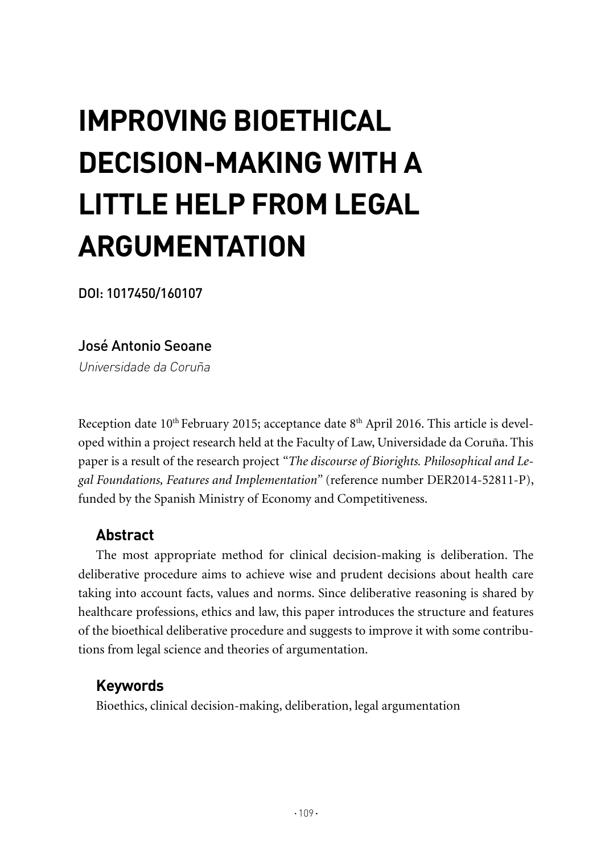# **IMPROVING BIOETHICAL DECISION-MAKING WITH A LITTLE HELP FROM LEGAL ARGUMENTATION**

DOI: 1017450/160107

José Antonio Seoane

Universidade da Coruña

Reception date 10<sup>th</sup> February 2015; acceptance date 8<sup>th</sup> April 2016. This article is developed within a project research held at the Faculty of Law, Universidade da Coruña. This paper is a result of the research project *"The discourse of Biorights. Philosophical and Legal Foundations, Features and Implementation"* (reference number DER2014-52811-P), funded by the Spanish Ministry of Economy and Competitiveness.

## **Abstract**

The most appropriate method for clinical decision-making is deliberation. The deliberative procedure aims to achieve wise and prudent decisions about health care taking into account facts, values and norms. Since deliberative reasoning is shared by healthcare professions, ethics and law, this paper introduces the structure and features of the bioethical deliberative procedure and suggests to improve it with some contributions from legal science and theories of argumentation.

# **Keywords**

Bioethics, clinical decision-making, deliberation, legal argumentation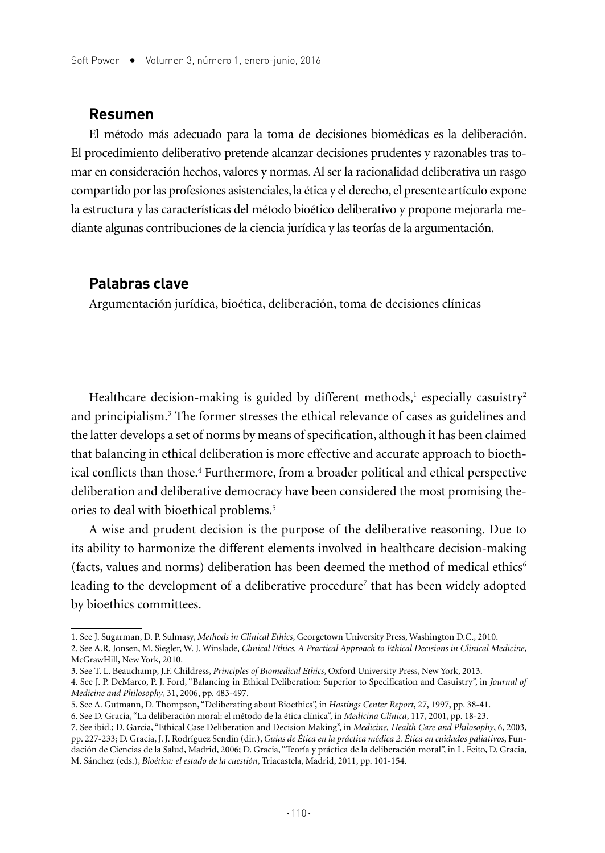### **Resumen**

El método más adecuado para la toma de decisiones biomédicas es la deliberación. El procedimiento deliberativo pretende alcanzar decisiones prudentes y razonables tras tomar en consideración hechos, valores y normas. Al ser la racionalidad deliberativa un rasgo compartido por las profesiones asistenciales, la ética y el derecho, el presente artículo expone la estructura y las características del método bioético deliberativo y propone mejorarla mediante algunas contribuciones de la ciencia jurídica y las teorías de la argumentación.

## **Palabras clave**

Argumentación jurídica, bioética, deliberación, toma de decisiones clínicas

Healthcare decision-making is guided by different methods, $^1$  especially casuistry $^2$ and principialism.3 The former stresses the ethical relevance of cases as guidelines and the latter develops a set of norms by means of specification, although it has been claimed that balancing in ethical deliberation is more effective and accurate approach to bioethical conflicts than those.<sup>4</sup> Furthermore, from a broader political and ethical perspective deliberation and deliberative democracy have been considered the most promising theories to deal with bioethical problems.<sup>5</sup>

A wise and prudent decision is the purpose of the deliberative reasoning. Due to its ability to harmonize the different elements involved in healthcare decision-making (facts, values and norms) deliberation has been deemed the method of medical ethics6 leading to the development of a deliberative procedure<sup>7</sup> that has been widely adopted by bioethics committees.

5. See A. Gutmann, D. Thompson, "Deliberating about Bioethics", in *Hastings Center Report*, 27, 1997, pp. 38-41.

<sup>1.</sup> See J. Sugarman, D. P. Sulmasy, *Methods in Clinical Ethics*, Georgetown University Press, Washington D.C., 2010. 2. See A.R. Jonsen, M. Siegler, W. J. Winslade, *Clinical Ethics. A Practical Approach to Ethical Decisions in Clinical Medicine*,

McGrawHill, New York, 2010.

<sup>3.</sup> See T. L. Beauchamp, J.F. Childress, *Principles of Biomedical Ethics*, Oxford University Press, New York, 2013.

<sup>4.</sup> See J. P. DeMarco, P. J. Ford, "Balancing in Ethical Deliberation: Superior to Specification and Casuistry", in *Journal of Medicine and Philosophy*, 31, 2006, pp. 483-497.

<sup>6.</sup> See D. Gracia, "La deliberación moral: el método de la ética clínica", in *Medicina Clínica*, 117, 2001, pp. 18-23.

<sup>7.</sup> See ibid.; D. Garcia, "Ethical Case Deliberation and Decision Making", in *Medicine, Health Care and Philosophy*, 6, 2003, pp. 227-233; D. Gracia, J. J. Rodríguez Sendín (dir.), *Guías de Ética en la práctica médica 2. Ética en cuidados paliativos*, Fundación de Ciencias de la Salud, Madrid, 2006; D. Gracia, "Teoría y práctica de la deliberación moral", in L. Feito, D. Gracia, M. Sánchez (eds.), *Bioética: el estado de la cuestión*, Triacastela, Madrid, 2011, pp. 101-154.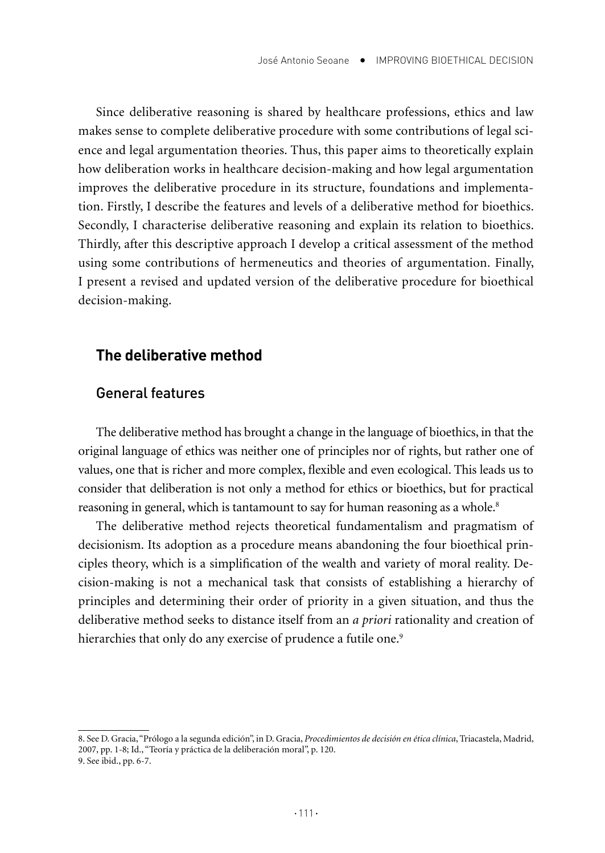Since deliberative reasoning is shared by healthcare professions, ethics and law makes sense to complete deliberative procedure with some contributions of legal science and legal argumentation theories. Thus, this paper aims to theoretically explain how deliberation works in healthcare decision-making and how legal argumentation improves the deliberative procedure in its structure, foundations and implementation. Firstly, I describe the features and levels of a deliberative method for bioethics. Secondly, I characterise deliberative reasoning and explain its relation to bioethics. Thirdly, after this descriptive approach I develop a critical assessment of the method using some contributions of hermeneutics and theories of argumentation. Finally, I present a revised and updated version of the deliberative procedure for bioethical decision-making.

## **The deliberative method**

## General features

The deliberative method has brought a change in the language of bioethics, in that the original language of ethics was neither one of principles nor of rights, but rather one of values, one that is richer and more complex, flexible and even ecological. This leads us to consider that deliberation is not only a method for ethics or bioethics, but for practical reasoning in general, which is tantamount to say for human reasoning as a whole.<sup>8</sup>

The deliberative method rejects theoretical fundamentalism and pragmatism of decisionism. Its adoption as a procedure means abandoning the four bioethical principles theory, which is a simplification of the wealth and variety of moral reality. Decision-making is not a mechanical task that consists of establishing a hierarchy of principles and determining their order of priority in a given situation, and thus the deliberative method seeks to distance itself from an *a priori* rationality and creation of hierarchies that only do any exercise of prudence a futile one.<sup>9</sup>

<sup>8.</sup> See D. Gracia, "Prólogo a la segunda edición", in D. Gracia, *Procedimientos de decisión en ética clínica*, Triacastela, Madrid, 2007, pp. 1-8; Id., "Teoría y práctica de la deliberación moral", p. 120. 9. See ibid., pp. 6-7.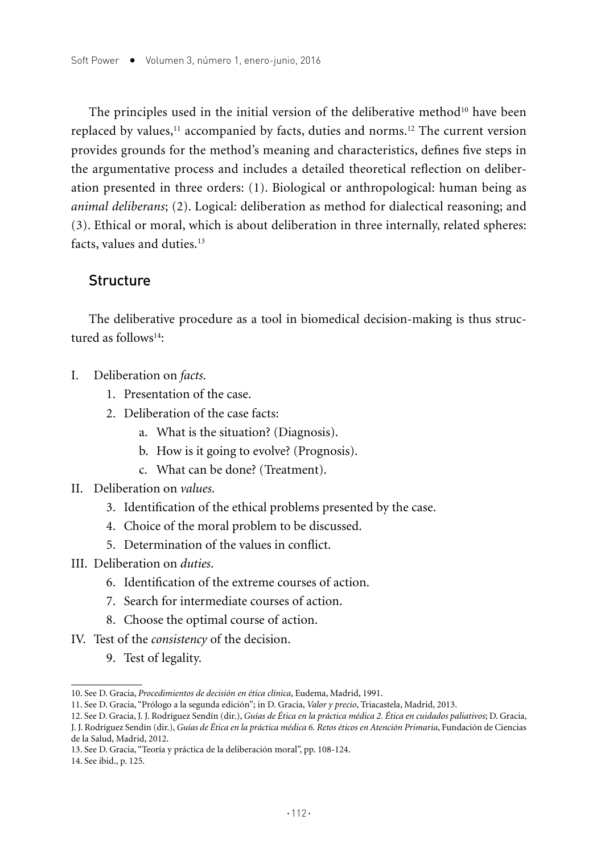The principles used in the initial version of the deliberative method $10$  have been replaced by values,<sup>11</sup> accompanied by facts, duties and norms.<sup>12</sup> The current version provides grounds for the method's meaning and characteristics, defines five steps in the argumentative process and includes a detailed theoretical reflection on deliberation presented in three orders: (1). Biological or anthropological: human being as *animal deliberans*; (2). Logical: deliberation as method for dialectical reasoning; and (3). Ethical or moral, which is about deliberation in three internally, related spheres: facts, values and duties.<sup>13</sup>

## Structure

The deliberative procedure as a tool in biomedical decision-making is thus structured as follows14:

- I. Deliberation on *facts*.
	- 1. Presentation of the case.
	- 2. Deliberation of the case facts:
		- a. What is the situation? (Diagnosis).
		- b. How is it going to evolve? (Prognosis).
		- c. What can be done? (Treatment).
- II. Deliberation on *values*.
	- 3. Identification of the ethical problems presented by the case.
	- 4. Choice of the moral problem to be discussed.
	- 5. Determination of the values in conflict.
- III. Deliberation on *duties*.
	- 6. Identification of the extreme courses of action.
	- 7. Search for intermediate courses of action.
	- 8. Choose the optimal course of action.
- IV. Test of the *consistency* of the decision.
	- 9. Test of legality.

14. See ibid., p. 125.

<sup>10.</sup> See D. Gracia, *Procedimientos de decisión en ética clínica*, Eudema, Madrid, 1991.

<sup>11.</sup> See D. Gracia, "Prólogo a la segunda edición"; in D. Gracia, *Valor y precio*, Triacastela, Madrid, 2013.

<sup>12.</sup> See D. Gracia, J. J. Rodríguez Sendín (dir.), *Guías de Ética en la práctica médica 2. Ética en cuidados paliativos*; D. Gracia, J. J. Rodríguez Sendín (dir.), *Guías de Ética en la práctica médica 6. Retos éticos en Atención Primaria*, Fundación de Ciencias de la Salud, Madrid, 2012.

<sup>13.</sup> See D. Gracia, "Teoría y práctica de la deliberación moral", pp. 108-124.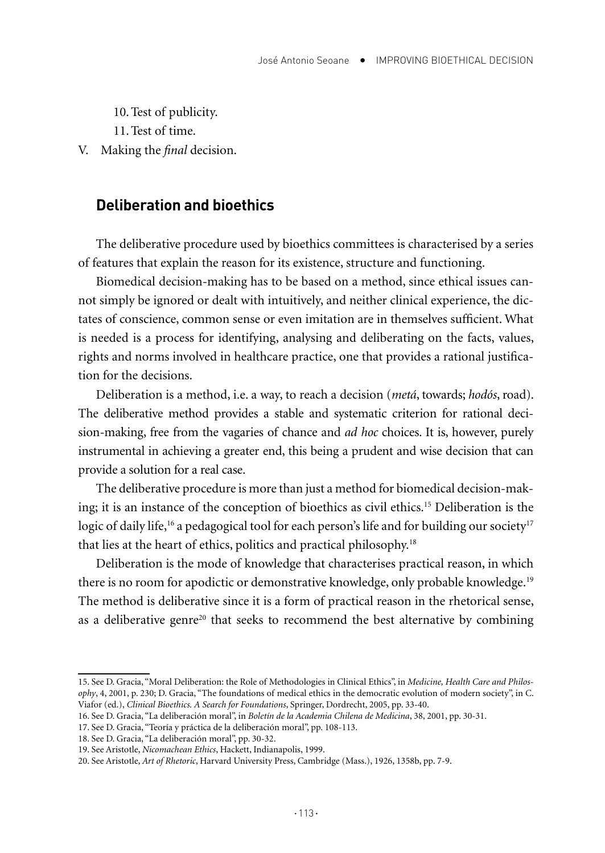10.Test of publicity.

11.Test of time.

V. Making the *final* decision.

## **Deliberation and bioethics**

The deliberative procedure used by bioethics committees is characterised by a series of features that explain the reason for its existence, structure and functioning.

Biomedical decision-making has to be based on a method, since ethical issues cannot simply be ignored or dealt with intuitively, and neither clinical experience, the dictates of conscience, common sense or even imitation are in themselves sufficient. What is needed is a process for identifying, analysing and deliberating on the facts, values, rights and norms involved in healthcare practice, one that provides a rational justification for the decisions.

Deliberation is a method, i.e. a way, to reach a decision (*metá*, towards; *hodós*, road). The deliberative method provides a stable and systematic criterion for rational decision-making, free from the vagaries of chance and *ad hoc* choices. It is, however, purely instrumental in achieving a greater end, this being a prudent and wise decision that can provide a solution for a real case.

The deliberative procedure is more than just a method for biomedical decision-making; it is an instance of the conception of bioethics as civil ethics.15 Deliberation is the logic of daily life,<sup>16</sup> a pedagogical tool for each person's life and for building our society<sup>17</sup> that lies at the heart of ethics, politics and practical philosophy.18

Deliberation is the mode of knowledge that characterises practical reason, in which there is no room for apodictic or demonstrative knowledge, only probable knowledge.<sup>19</sup> The method is deliberative since it is a form of practical reason in the rhetorical sense, as a deliberative genre<sup>20</sup> that seeks to recommend the best alternative by combining

<sup>15.</sup> See D. Gracia, "Moral Deliberation: the Role of Methodologies in Clinical Ethics", in *Medicine, Health Care and Philosophy*, 4, 2001, p. 230; D. Gracia, "The foundations of medical ethics in the democratic evolution of modern society", in C. Viafor (ed.), *Clinical Bioethics. A Search for Foundations*, Springer, Dordrecht, 2005, pp. 33-40.

<sup>16.</sup> See D. Gracia, "La deliberación moral", in *Boletín de la Academia Chilena de Medicina*, 38, 2001, pp. 30-31.

<sup>17.</sup> See D. Gracia, "Teoría y práctica de la deliberación moral", pp. 108-113.

<sup>18.</sup> See D. Gracia, "La deliberación moral", pp. 30-32.

<sup>19.</sup> See Aristotle, *Nicomachean Ethics*, Hackett, Indianapolis, 1999.

<sup>20.</sup> See Aristotle, *Art of Rhetoric*, Harvard University Press, Cambridge (Mass.), 1926, 1358b, pp. 7-9.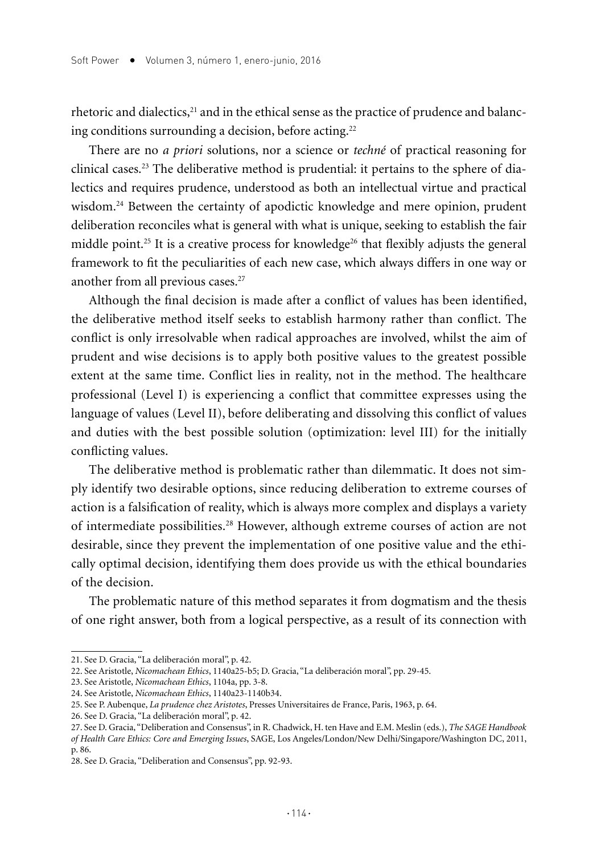rhetoric and dialectics,<sup>21</sup> and in the ethical sense as the practice of prudence and balancing conditions surrounding a decision, before acting.<sup>22</sup>

There are no *a priori* solutions, nor a science or *techné* of practical reasoning for clinical cases.23 The deliberative method is prudential: it pertains to the sphere of dialectics and requires prudence, understood as both an intellectual virtue and practical wisdom.<sup>24</sup> Between the certainty of apodictic knowledge and mere opinion, prudent deliberation reconciles what is general with what is unique, seeking to establish the fair middle point.<sup>25</sup> It is a creative process for knowledge<sup>26</sup> that flexibly adjusts the general framework to fit the peculiarities of each new case, which always differs in one way or another from all previous cases.<sup>27</sup>

Although the final decision is made after a conflict of values has been identified, the deliberative method itself seeks to establish harmony rather than conflict. The conflict is only irresolvable when radical approaches are involved, whilst the aim of prudent and wise decisions is to apply both positive values to the greatest possible extent at the same time. Conflict lies in reality, not in the method. The healthcare professional (Level I) is experiencing a conflict that committee expresses using the language of values (Level II), before deliberating and dissolving this conflict of values and duties with the best possible solution (optimization: level III) for the initially conflicting values.

The deliberative method is problematic rather than dilemmatic. It does not simply identify two desirable options, since reducing deliberation to extreme courses of action is a falsification of reality, which is always more complex and displays a variety of intermediate possibilities.28 However, although extreme courses of action are not desirable, since they prevent the implementation of one positive value and the ethically optimal decision, identifying them does provide us with the ethical boundaries of the decision.

The problematic nature of this method separates it from dogmatism and the thesis of one right answer, both from a logical perspective, as a result of its connection with

<sup>21.</sup> See D. Gracia, "La deliberación moral", p. 42.

<sup>22.</sup> See Aristotle, *Nicomachean Ethics*, 1140a25-b5; D. Gracia, "La deliberación moral", pp. 29-45.

<sup>23.</sup> See Aristotle, *Nicomachean Ethics*, 1104a, pp. 3-8.

<sup>24.</sup> See Aristotle, *Nicomachean Ethics*, 1140a23-1140b34.

<sup>25.</sup> See P. Aubenque, *La prudence chez Aristotes*, Presses Universitaires de France, Paris, 1963, p. 64.

<sup>26.</sup> See D. Gracia, "La deliberación moral", p. 42.

<sup>27.</sup> See D. Gracia, "Deliberation and Consensus", in R. Chadwick, H. ten Have and E.M. Meslin (eds.), *The SAGE Handbook of Health Care Ethics: Core and Emerging Issues*, SAGE, Los Angeles/London/New Delhi/Singapore/Washington DC, 2011, p. 86.

<sup>28.</sup> See D. Gracia, "Deliberation and Consensus", pp. 92-93.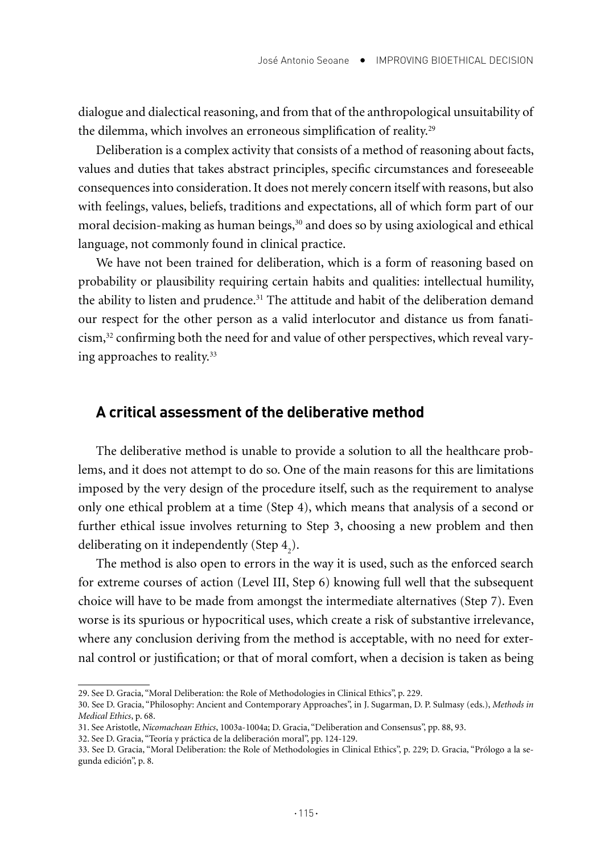dialogue and dialectical reasoning, and from that of the anthropological unsuitability of the dilemma, which involves an erroneous simplification of reality.<sup>29</sup>

Deliberation is a complex activity that consists of a method of reasoning about facts, values and duties that takes abstract principles, specific circumstances and foreseeable consequences into consideration. It does not merely concern itself with reasons, but also with feelings, values, beliefs, traditions and expectations, all of which form part of our moral decision-making as human beings,<sup>30</sup> and does so by using axiological and ethical language, not commonly found in clinical practice.

We have not been trained for deliberation, which is a form of reasoning based on probability or plausibility requiring certain habits and qualities: intellectual humility, the ability to listen and prudence.<sup>31</sup> The attitude and habit of the deliberation demand our respect for the other person as a valid interlocutor and distance us from fanaticism,32 confirming both the need for and value of other perspectives, which reveal varying approaches to reality.33

## **A critical assessment of the deliberative method**

The deliberative method is unable to provide a solution to all the healthcare problems, and it does not attempt to do so. One of the main reasons for this are limitations imposed by the very design of the procedure itself, such as the requirement to analyse only one ethical problem at a time (Step 4), which means that analysis of a second or further ethical issue involves returning to Step 3, choosing a new problem and then deliberating on it independently (Step  $4_2$ ).

The method is also open to errors in the way it is used, such as the enforced search for extreme courses of action (Level III, Step 6) knowing full well that the subsequent choice will have to be made from amongst the intermediate alternatives (Step 7). Even worse is its spurious or hypocritical uses, which create a risk of substantive irrelevance, where any conclusion deriving from the method is acceptable, with no need for external control or justification; or that of moral comfort, when a decision is taken as being

<sup>29.</sup> See D. Gracia, "Moral Deliberation: the Role of Methodologies in Clinical Ethics", p. 229.

<sup>30.</sup> See D. Gracia, "Philosophy: Ancient and Contemporary Approaches", in J. Sugarman, D. P. Sulmasy (eds.), *Methods in Medical Ethics*, p. 68.

<sup>31.</sup> See Aristotle, *Nicomachean Ethics*, 1003a-1004a; D. Gracia, "Deliberation and Consensus", pp. 88, 93.

<sup>32.</sup> See D. Gracia, "Teoría y práctica de la deliberación moral", pp. 124-129.

<sup>33.</sup> See D. Gracia, "Moral Deliberation: the Role of Methodologies in Clinical Ethics", p. 229; D. Gracia, "Prólogo a la segunda edición", p. 8.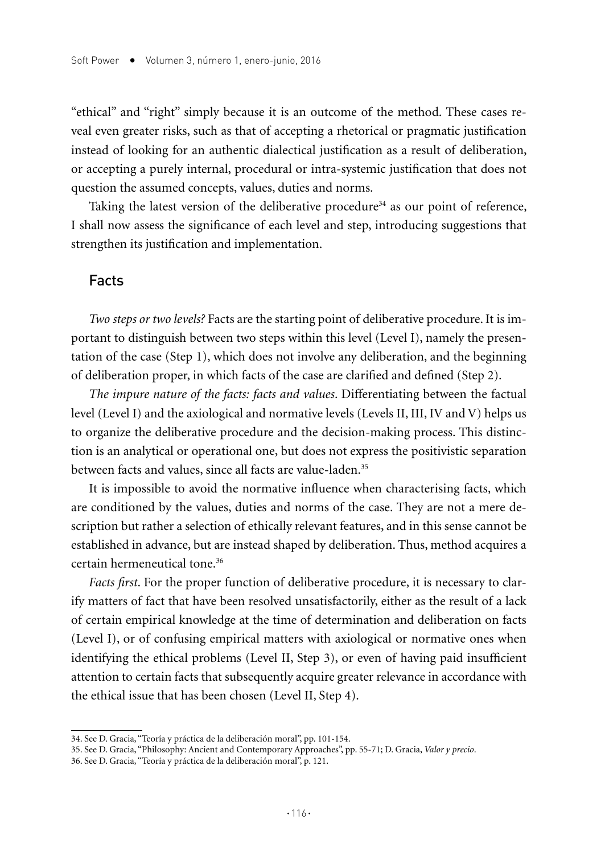"ethical" and "right" simply because it is an outcome of the method. These cases reveal even greater risks, such as that of accepting a rhetorical or pragmatic justification instead of looking for an authentic dialectical justification as a result of deliberation, or accepting a purely internal, procedural or intra-systemic justification that does not question the assumed concepts, values, duties and norms.

Taking the latest version of the deliberative procedure<sup>34</sup> as our point of reference, I shall now assess the significance of each level and step, introducing suggestions that strengthen its justification and implementation.

#### Facts

*Two steps or two levels?* Facts are the starting point of deliberative procedure. It is important to distinguish between two steps within this level (Level I), namely the presentation of the case (Step 1), which does not involve any deliberation, and the beginning of deliberation proper, in which facts of the case are clarified and defined (Step 2).

*The impure nature of the facts: facts and values*. Differentiating between the factual level (Level I) and the axiological and normative levels (Levels II, III, IV and V) helps us to organize the deliberative procedure and the decision-making process. This distinction is an analytical or operational one, but does not express the positivistic separation between facts and values, since all facts are value-laden.<sup>35</sup>

It is impossible to avoid the normative influence when characterising facts, which are conditioned by the values, duties and norms of the case. They are not a mere description but rather a selection of ethically relevant features, and in this sense cannot be established in advance, but are instead shaped by deliberation. Thus, method acquires a certain hermeneutical tone.<sup>36</sup>

*Facts first*. For the proper function of deliberative procedure, it is necessary to clarify matters of fact that have been resolved unsatisfactorily, either as the result of a lack of certain empirical knowledge at the time of determination and deliberation on facts (Level I), or of confusing empirical matters with axiological or normative ones when identifying the ethical problems (Level II, Step 3), or even of having paid insufficient attention to certain facts that subsequently acquire greater relevance in accordance with the ethical issue that has been chosen (Level II, Step 4).

<sup>34.</sup> See D. Gracia, "Teoría y práctica de la deliberación moral", pp. 101-154.

<sup>35.</sup> See D. Gracia, "Philosophy: Ancient and Contemporary Approaches", pp. 55-71; D. Gracia, *Valor y precio*.

<sup>36.</sup> See D. Gracia, "Teoría y práctica de la deliberación moral", p. 121.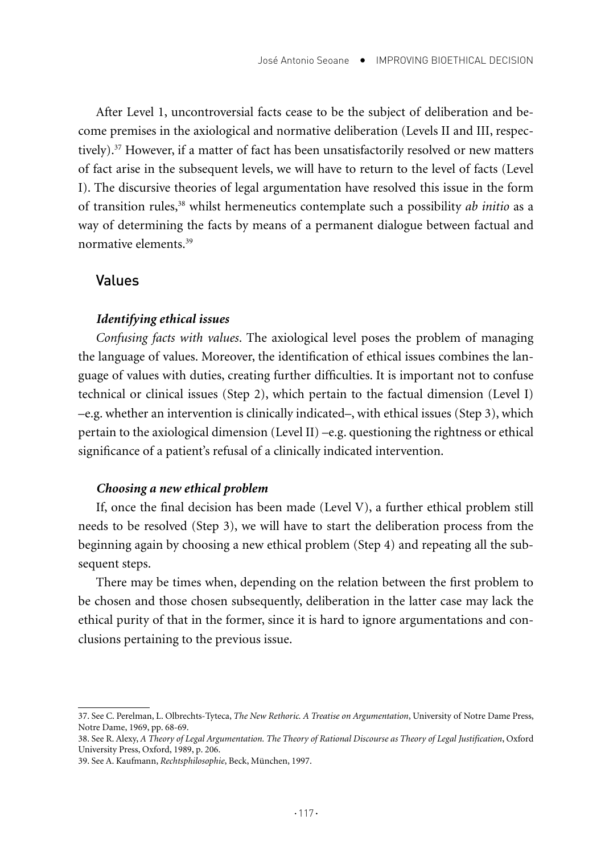After Level 1, uncontroversial facts cease to be the subject of deliberation and become premises in the axiological and normative deliberation (Levels II and III, respectively).<sup>37</sup> However, if a matter of fact has been unsatisfactorily resolved or new matters of fact arise in the subsequent levels, we will have to return to the level of facts (Level I). The discursive theories of legal argumentation have resolved this issue in the form of transition rules,38 whilst hermeneutics contemplate such a possibility *ab initio* as a way of determining the facts by means of a permanent dialogue between factual and normative elements.39

## Values

#### *Identifying ethical issues*

*Confusing facts with values*. The axiological level poses the problem of managing the language of values. Moreover, the identification of ethical issues combines the language of values with duties, creating further difficulties. It is important not to confuse technical or clinical issues (Step 2), which pertain to the factual dimension (Level I) –e.g. whether an intervention is clinically indicated–, with ethical issues (Step 3), which pertain to the axiological dimension (Level II) –e.g. questioning the rightness or ethical significance of a patient's refusal of a clinically indicated intervention.

#### *Choosing a new ethical problem*

If, once the final decision has been made (Level V), a further ethical problem still needs to be resolved (Step 3), we will have to start the deliberation process from the beginning again by choosing a new ethical problem (Step 4) and repeating all the subsequent steps.

There may be times when, depending on the relation between the first problem to be chosen and those chosen subsequently, deliberation in the latter case may lack the ethical purity of that in the former, since it is hard to ignore argumentations and conclusions pertaining to the previous issue.

<sup>37.</sup> See C. Perelman, L. Olbrechts-Tyteca, *The New Rethoric. A Treatise on Argumentation*, University of Notre Dame Press, Notre Dame, 1969, pp. 68-69.

<sup>38.</sup> See R. Alexy, *A Theory of Legal Argumentation. The Theory of Rational Discourse as Theory of Legal Justification*, Oxford University Press, Oxford, 1989, p. 206.

<sup>39.</sup> See A. Kaufmann, *Rechtsphilosophie*, Beck, München, 1997.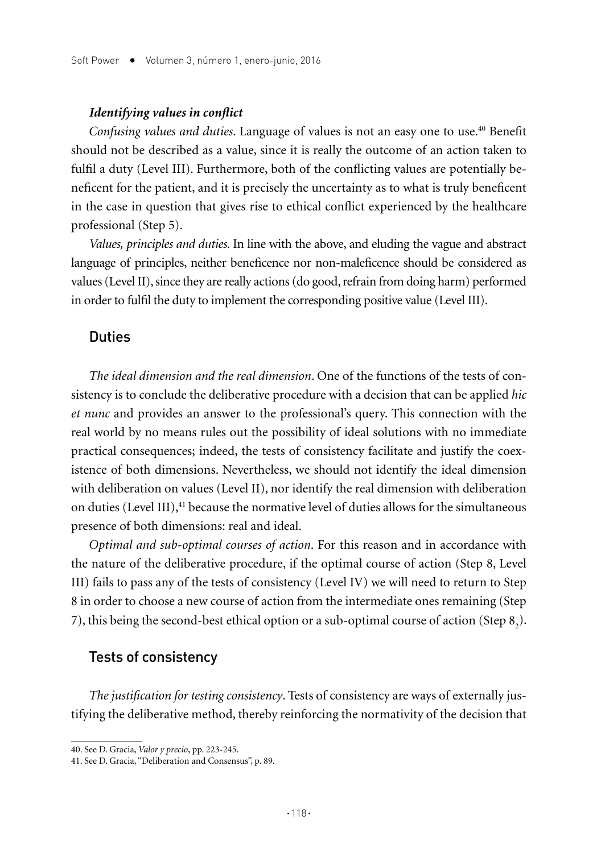#### *Identifying values in conflict*

*Confusing values and duties*. Language of values is not an easy one to use.40 Benefit should not be described as a value, since it is really the outcome of an action taken to fulfil a duty (Level III). Furthermore, both of the conflicting values are potentially beneficent for the patient, and it is precisely the uncertainty as to what is truly beneficent in the case in question that gives rise to ethical conflict experienced by the healthcare professional (Step 5).

*Values, principles and duties*. In line with the above, and eluding the vague and abstract language of principles, neither beneficence nor non-maleficence should be considered as values (Level II), since they are really actions (do good, refrain from doing harm) performed in order to fulfil the duty to implement the corresponding positive value (Level III).

### Duties

*The ideal dimension and the real dimension*. One of the functions of the tests of consistency is to conclude the deliberative procedure with a decision that can be applied *hic et nunc* and provides an answer to the professional's query. This connection with the real world by no means rules out the possibility of ideal solutions with no immediate practical consequences; indeed, the tests of consistency facilitate and justify the coexistence of both dimensions. Nevertheless, we should not identify the ideal dimension with deliberation on values (Level II), nor identify the real dimension with deliberation on duties (Level III), $41$  because the normative level of duties allows for the simultaneous presence of both dimensions: real and ideal.

*Optimal and sub-optimal courses of action*. For this reason and in accordance with the nature of the deliberative procedure, if the optimal course of action (Step 8, Level III) fails to pass any of the tests of consistency (Level IV) we will need to return to Step 8 in order to choose a new course of action from the intermediate ones remaining (Step 7), this being the second-best ethical option or a sub-optimal course of action (Step  $\mathbf{8}_{2}$ ).

## Tests of consistency

*The justification for testing consistency*. Tests of consistency are ways of externally justifying the deliberative method, thereby reinforcing the normativity of the decision that

<sup>40.</sup> See D. Gracia, *Valor y precio*, pp. 223-245.

<sup>41.</sup> See D. Gracia, "Deliberation and Consensus", p. 89.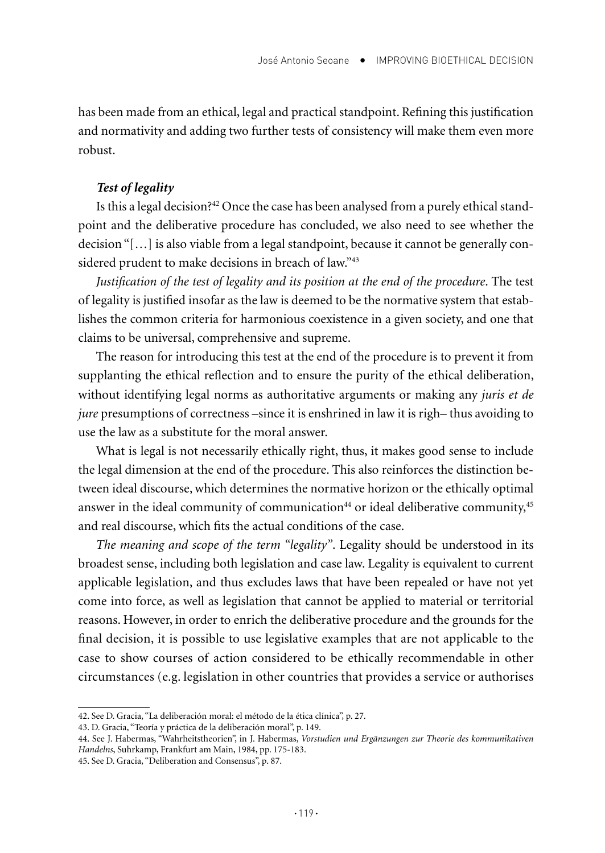has been made from an ethical, legal and practical standpoint. Refining this justification and normativity and adding two further tests of consistency will make them even more robust.

#### *Test of legality*

Is this a legal decision?<sup>42</sup> Once the case has been analysed from a purely ethical standpoint and the deliberative procedure has concluded, we also need to see whether the decision "[…] is also viable from a legal standpoint, because it cannot be generally considered prudent to make decisions in breach of law."43

*Justification of the test of legality and its position at the end of the procedure*. The test of legality is justified insofar as the law is deemed to be the normative system that establishes the common criteria for harmonious coexistence in a given society, and one that claims to be universal, comprehensive and supreme.

The reason for introducing this test at the end of the procedure is to prevent it from supplanting the ethical reflection and to ensure the purity of the ethical deliberation, without identifying legal norms as authoritative arguments or making any *juris et de jure* presumptions of correctness –since it is enshrined in law it is righ– thus avoiding to use the law as a substitute for the moral answer.

What is legal is not necessarily ethically right, thus, it makes good sense to include the legal dimension at the end of the procedure. This also reinforces the distinction between ideal discourse, which determines the normative horizon or the ethically optimal answer in the ideal community of communication $44$  or ideal deliberative community, $45$ and real discourse, which fits the actual conditions of the case.

*The meaning and scope of the term "legality"*. Legality should be understood in its broadest sense, including both legislation and case law. Legality is equivalent to current applicable legislation, and thus excludes laws that have been repealed or have not yet come into force, as well as legislation that cannot be applied to material or territorial reasons. However, in order to enrich the deliberative procedure and the grounds for the final decision, it is possible to use legislative examples that are not applicable to the case to show courses of action considered to be ethically recommendable in other circumstances (e.g. legislation in other countries that provides a service or authorises

43. D. Gracia, "Teoría y práctica de la deliberación moral", p. 149.

<sup>42.</sup> See D. Gracia, "La deliberación moral: el método de la ética clínica", p. 27.

<sup>44.</sup> See J. Habermas, "Wahrheitstheorien", in J. Habermas, *Vorstudien und Ergänzungen zur Theorie des kommunikativen Handelns*, Suhrkamp, Frankfurt am Main, 1984, pp. 175-183.

<sup>45.</sup> See D. Gracia, "Deliberation and Consensus", p. 87.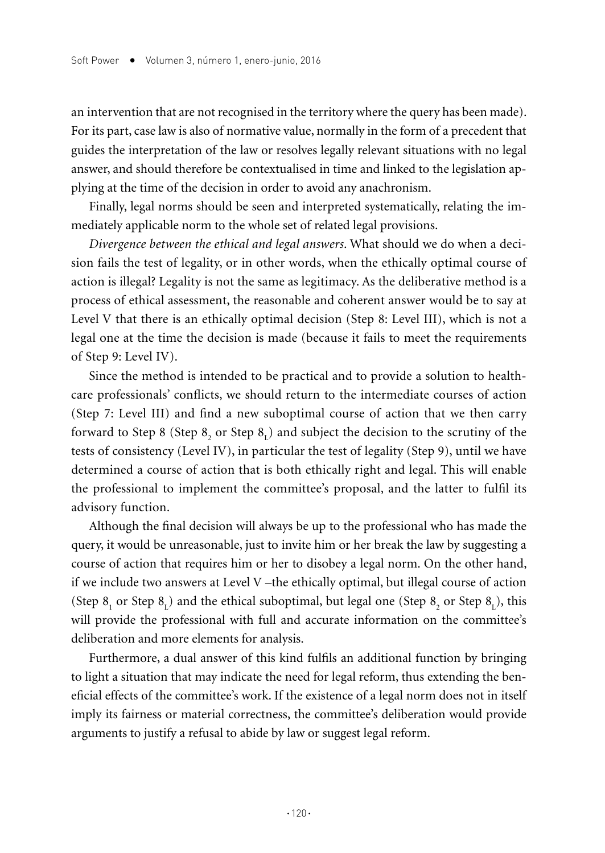an intervention that are not recognised in the territory where the query has been made). For its part, case law is also of normative value, normally in the form of a precedent that guides the interpretation of the law or resolves legally relevant situations with no legal answer, and should therefore be contextualised in time and linked to the legislation applying at the time of the decision in order to avoid any anachronism.

Finally, legal norms should be seen and interpreted systematically, relating the immediately applicable norm to the whole set of related legal provisions.

*Divergence between the ethical and legal answers*. What should we do when a decision fails the test of legality, or in other words, when the ethically optimal course of action is illegal? Legality is not the same as legitimacy. As the deliberative method is a process of ethical assessment, the reasonable and coherent answer would be to say at Level V that there is an ethically optimal decision (Step 8: Level III), which is not a legal one at the time the decision is made (because it fails to meet the requirements of Step 9: Level IV).

Since the method is intended to be practical and to provide a solution to healthcare professionals' conflicts, we should return to the intermediate courses of action (Step 7: Level III) and find a new suboptimal course of action that we then carry forward to Step 8 (Step  $\mathbf{8}_{2}$  or Step  $\mathbf{8}_{1}$ ) and subject the decision to the scrutiny of the tests of consistency (Level IV), in particular the test of legality (Step 9), until we have determined a course of action that is both ethically right and legal. This will enable the professional to implement the committee's proposal, and the latter to fulfil its advisory function.

Although the final decision will always be up to the professional who has made the query, it would be unreasonable, just to invite him or her break the law by suggesting a course of action that requires him or her to disobey a legal norm. On the other hand, if we include two answers at Level V –the ethically optimal, but illegal course of action (Step  $8<sub>1</sub>$  or Step  $8<sub>L</sub>$ ) and the ethical suboptimal, but legal one (Step  $8<sub>2</sub>$  or Step  $8<sub>L</sub>$ ), this will provide the professional with full and accurate information on the committee's deliberation and more elements for analysis.

Furthermore, a dual answer of this kind fulfils an additional function by bringing to light a situation that may indicate the need for legal reform, thus extending the beneficial effects of the committee's work. If the existence of a legal norm does not in itself imply its fairness or material correctness, the committee's deliberation would provide arguments to justify a refusal to abide by law or suggest legal reform.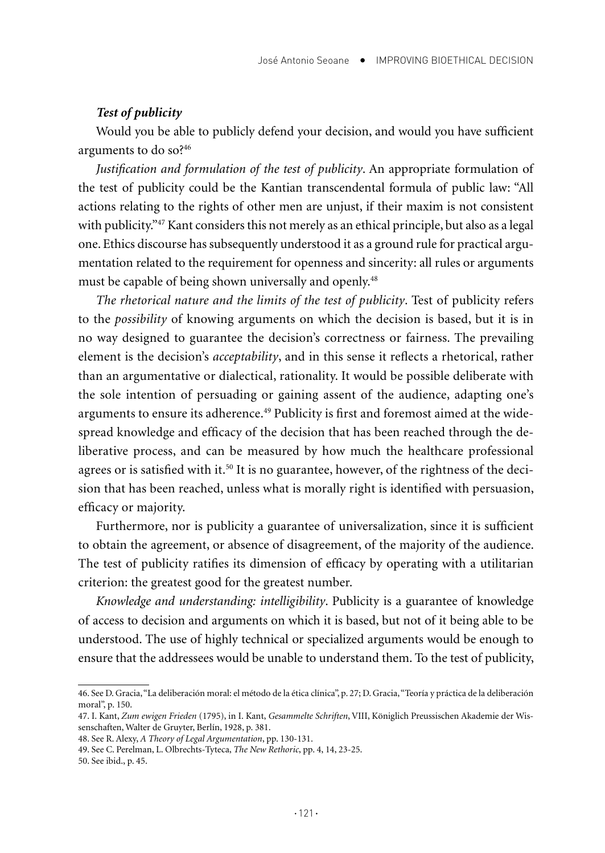#### *Test of publicity*

Would you be able to publicly defend your decision, and would you have sufficient arguments to do so?46

*Justification and formulation of the test of publicity*. An appropriate formulation of the test of publicity could be the Kantian transcendental formula of public law: "All actions relating to the rights of other men are unjust, if their maxim is not consistent with publicity."<sup>47</sup> Kant considers this not merely as an ethical principle, but also as a legal one. Ethics discourse has subsequently understood it as a ground rule for practical argumentation related to the requirement for openness and sincerity: all rules or arguments must be capable of being shown universally and openly.<sup>48</sup>

*The rhetorical nature and the limits of the test of publicity*. Test of publicity refers to the *possibility* of knowing arguments on which the decision is based, but it is in no way designed to guarantee the decision's correctness or fairness. The prevailing element is the decision's *acceptability*, and in this sense it reflects a rhetorical, rather than an argumentative or dialectical, rationality. It would be possible deliberate with the sole intention of persuading or gaining assent of the audience, adapting one's arguments to ensure its adherence.<sup>49</sup> Publicity is first and foremost aimed at the widespread knowledge and efficacy of the decision that has been reached through the deliberative process, and can be measured by how much the healthcare professional agrees or is satisfied with it.<sup>50</sup> It is no guarantee, however, of the rightness of the decision that has been reached, unless what is morally right is identified with persuasion, efficacy or majority.

Furthermore, nor is publicity a guarantee of universalization, since it is sufficient to obtain the agreement, or absence of disagreement, of the majority of the audience. The test of publicity ratifies its dimension of efficacy by operating with a utilitarian criterion: the greatest good for the greatest number.

*Knowledge and understanding: intelligibility*. Publicity is a guarantee of knowledge of access to decision and arguments on which it is based, but not of it being able to be understood. The use of highly technical or specialized arguments would be enough to ensure that the addressees would be unable to understand them. To the test of publicity,

<sup>46.</sup> See D. Gracia, "La deliberación moral: el método de la ética clínica", p. 27; D. Gracia, "Teoría y práctica de la deliberación moral", p. 150.

<sup>47.</sup> I. Kant, *Zum ewigen Frieden* (1795), in I. Kant, *Gesammelte Schriften*, VIII, Königlich Preussischen Akademie der Wissenschaften, Walter de Gruyter, Berlín, 1928, p. 381.

<sup>48.</sup> See R. Alexy, *A Theory of Legal Argumentation*, pp. 130-131.

<sup>49.</sup> See C. Perelman, L. Olbrechts-Tyteca, *The New Rethoric*, pp. 4, 14, 23-25.

<sup>50.</sup> See ibid., p. 45.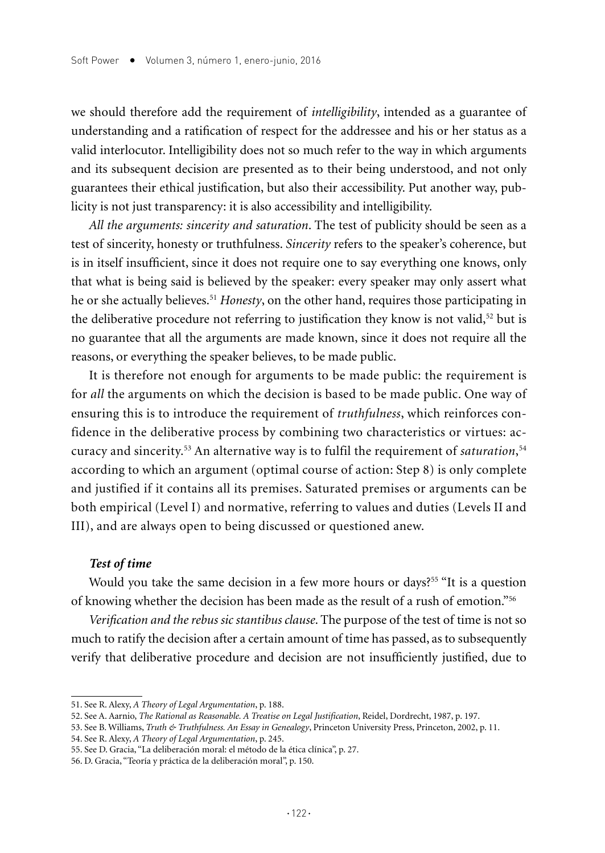we should therefore add the requirement of *intelligibility*, intended as a guarantee of understanding and a ratification of respect for the addressee and his or her status as a valid interlocutor. Intelligibility does not so much refer to the way in which arguments and its subsequent decision are presented as to their being understood, and not only guarantees their ethical justification, but also their accessibility. Put another way, publicity is not just transparency: it is also accessibility and intelligibility.

*All the arguments: sincerity and saturation*. The test of publicity should be seen as a test of sincerity, honesty or truthfulness. *Sincerity* refers to the speaker's coherence, but is in itself insufficient, since it does not require one to say everything one knows, only that what is being said is believed by the speaker: every speaker may only assert what he or she actually believes.51 *Honesty*, on the other hand, requires those participating in the deliberative procedure not referring to justification they know is not valid,<sup>52</sup> but is no guarantee that all the arguments are made known, since it does not require all the reasons, or everything the speaker believes, to be made public.

It is therefore not enough for arguments to be made public: the requirement is for *all* the arguments on which the decision is based to be made public. One way of ensuring this is to introduce the requirement of *truthfulness*, which reinforces confidence in the deliberative process by combining two characteristics or virtues: accuracy and sincerity.53 An alternative way is to fulfil the requirement of *saturation*, 54 according to which an argument (optimal course of action: Step 8) is only complete and justified if it contains all its premises. Saturated premises or arguments can be both empirical (Level I) and normative, referring to values and duties (Levels II and III), and are always open to being discussed or questioned anew.

#### *Test of time*

Would you take the same decision in a few more hours or days?<sup>55</sup> "It is a question of knowing whether the decision has been made as the result of a rush of emotion."56

*Verification and the rebus sic stantibus clause*. The purpose of the test of time is not so much to ratify the decision after a certain amount of time has passed, as to subsequently verify that deliberative procedure and decision are not insufficiently justified, due to

<sup>51.</sup> See R. Alexy, *A Theory of Legal Argumentation*, p. 188.

<sup>52.</sup> See A. Aarnio, *The Rational as Reasonable. A Treatise on Legal Justification*, Reidel, Dordrecht, 1987, p. 197.

<sup>53.</sup> See B. Williams, *Truth & Truthfulness. An Essay in Genealogy*, Princeton University Press, Princeton, 2002, p. 11.

<sup>54.</sup> See R. Alexy, *A Theory of Legal Argumentation*, p. 245.

<sup>55.</sup> See D. Gracia, "La deliberación moral: el método de la ética clínica", p. 27.

<sup>56.</sup> D. Gracia, "Teoría y práctica de la deliberación moral", p. 150.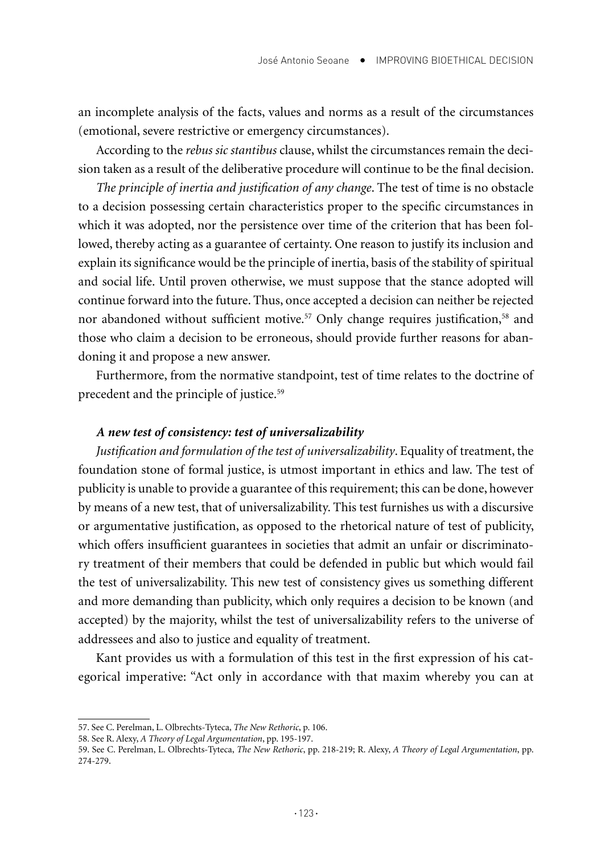an incomplete analysis of the facts, values and norms as a result of the circumstances (emotional, severe restrictive or emergency circumstances).

According to the *rebus sic stantibus* clause, whilst the circumstances remain the decision taken as a result of the deliberative procedure will continue to be the final decision.

*The principle of inertia and justification of any change*. The test of time is no obstacle to a decision possessing certain characteristics proper to the specific circumstances in which it was adopted, nor the persistence over time of the criterion that has been followed, thereby acting as a guarantee of certainty. One reason to justify its inclusion and explain its significance would be the principle of inertia, basis of the stability of spiritual and social life. Until proven otherwise, we must suppose that the stance adopted will continue forward into the future. Thus, once accepted a decision can neither be rejected nor abandoned without sufficient motive.<sup>57</sup> Only change requires justification,<sup>58</sup> and those who claim a decision to be erroneous, should provide further reasons for abandoning it and propose a new answer.

Furthermore, from the normative standpoint, test of time relates to the doctrine of precedent and the principle of justice.<sup>59</sup>

#### *A new test of consistency: test of universalizability*

*Justification and formulation of the test of universalizability*. Equality of treatment, the foundation stone of formal justice, is utmost important in ethics and law. The test of publicity is unable to provide a guarantee of this requirement; this can be done, however by means of a new test, that of universalizability. This test furnishes us with a discursive or argumentative justification, as opposed to the rhetorical nature of test of publicity, which offers insufficient guarantees in societies that admit an unfair or discriminatory treatment of their members that could be defended in public but which would fail the test of universalizability. This new test of consistency gives us something different and more demanding than publicity, which only requires a decision to be known (and accepted) by the majority, whilst the test of universalizability refers to the universe of addressees and also to justice and equality of treatment.

Kant provides us with a formulation of this test in the first expression of his categorical imperative: "Act only in accordance with that maxim whereby you can at

<sup>57.</sup> See C. Perelman, L. Olbrechts-Tyteca, *The New Rethoric*, p. 106.

<sup>58.</sup> See R. Alexy, *A Theory of Legal Argumentation*, pp. 195-197.

<sup>59.</sup> See C. Perelman, L. Olbrechts-Tyteca, *The New Rethoric*, pp. 218-219; R. Alexy, *A Theory of Legal Argumentation*, pp. 274-279.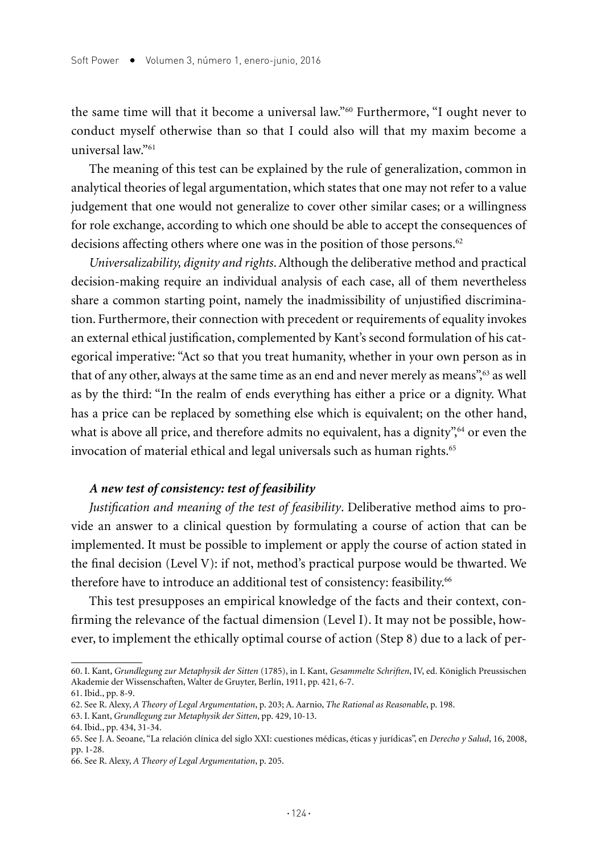the same time will that it become a universal law."60 Furthermore, "I ought never to conduct myself otherwise than so that I could also will that my maxim become a universal law."61

The meaning of this test can be explained by the rule of generalization, common in analytical theories of legal argumentation, which states that one may not refer to a value judgement that one would not generalize to cover other similar cases; or a willingness for role exchange, according to which one should be able to accept the consequences of decisions affecting others where one was in the position of those persons.<sup>62</sup>

*Universalizability, dignity and rights*. Although the deliberative method and practical decision-making require an individual analysis of each case, all of them nevertheless share a common starting point, namely the inadmissibility of unjustified discrimination. Furthermore, their connection with precedent or requirements of equality invokes an external ethical justification, complemented by Kant's second formulation of his categorical imperative: "Act so that you treat humanity, whether in your own person as in that of any other, always at the same time as an end and never merely as means",<sup>63</sup> as well as by the third: "In the realm of ends everything has either a price or a dignity. What has a price can be replaced by something else which is equivalent; on the other hand, what is above all price, and therefore admits no equivalent, has a dignity", $64$  or even the invocation of material ethical and legal universals such as human rights.<sup>65</sup>

#### *A new test of consistency: test of feasibility*

*Justification and meaning of the test of feasibility*. Deliberative method aims to provide an answer to a clinical question by formulating a course of action that can be implemented. It must be possible to implement or apply the course of action stated in the final decision (Level V): if not, method's practical purpose would be thwarted. We therefore have to introduce an additional test of consistency: feasibility.<sup>66</sup>

This test presupposes an empirical knowledge of the facts and their context, confirming the relevance of the factual dimension (Level I). It may not be possible, however, to implement the ethically optimal course of action (Step 8) due to a lack of per-

<sup>60.</sup> I. Kant, *Grundlegung zur Metaphysik der Sitten* (1785), in I. Kant, *Gesammelte Schriften*, IV, ed. Königlich Preussischen Akademie der Wissenschaften, Walter de Gruyter, Berlín, 1911, pp. 421, 6-7.

<sup>61.</sup> Ibid., pp. 8-9.

<sup>62.</sup> See R. Alexy, *A Theory of Legal Argumentation*, p. 203; A. Aarnio, *The Rational as Reasonable*, p. 198.

<sup>63.</sup> I. Kant, *Grundlegung zur Metaphysik der Sitten*, pp. 429, 10-13.

<sup>64.</sup> Ibid., pp. 434, 31-34.

<sup>65.</sup> See J. A. Seoane, "La relación clínica del siglo XXI: cuestiones médicas, éticas y jurídicas", en *Derecho y Salud*, 16, 2008, pp. 1-28.

<sup>66.</sup> See R. Alexy, *A Theory of Legal Argumentation*, p. 205.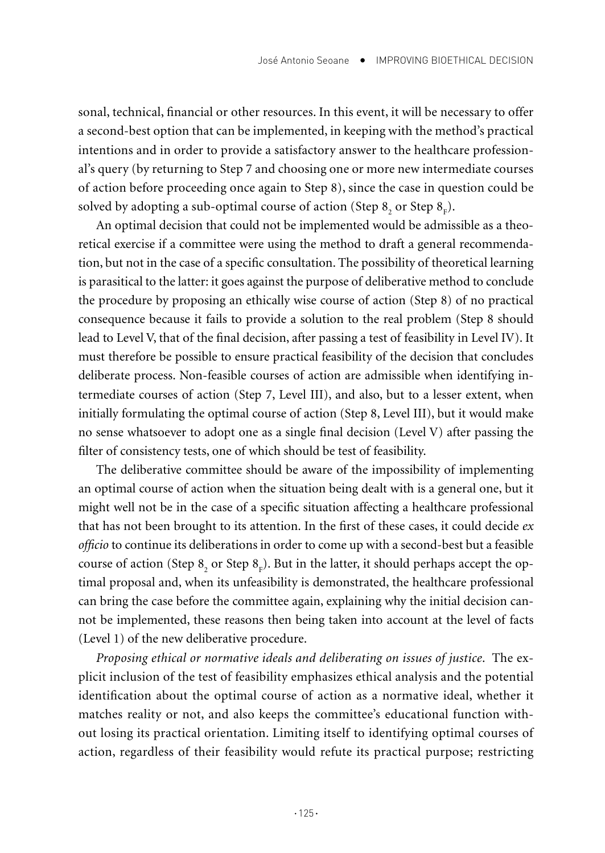sonal, technical, financial or other resources. In this event, it will be necessary to offer a second-best option that can be implemented, in keeping with the method's practical intentions and in order to provide a satisfactory answer to the healthcare professional's query (by returning to Step 7 and choosing one or more new intermediate courses of action before proceeding once again to Step 8), since the case in question could be solved by adopting a sub-optimal course of action (Step  $8^2$  or Step  $8^1$ ).

An optimal decision that could not be implemented would be admissible as a theoretical exercise if a committee were using the method to draft a general recommendation, but not in the case of a specific consultation. The possibility of theoretical learning is parasitical to the latter: it goes against the purpose of deliberative method to conclude the procedure by proposing an ethically wise course of action (Step 8) of no practical consequence because it fails to provide a solution to the real problem (Step 8 should lead to Level V, that of the final decision, after passing a test of feasibility in Level IV). It must therefore be possible to ensure practical feasibility of the decision that concludes deliberate process. Non-feasible courses of action are admissible when identifying intermediate courses of action (Step 7, Level III), and also, but to a lesser extent, when initially formulating the optimal course of action (Step 8, Level III), but it would make no sense whatsoever to adopt one as a single final decision (Level V) after passing the filter of consistency tests, one of which should be test of feasibility.

The deliberative committee should be aware of the impossibility of implementing an optimal course of action when the situation being dealt with is a general one, but it might well not be in the case of a specific situation affecting a healthcare professional that has not been brought to its attention. In the first of these cases, it could decide *ex officio* to continue its deliberations in order to come up with a second-best but a feasible course of action (Step  $\mathcal{B}_2$  or Step  $\mathcal{B}_F$ ). But in the latter, it should perhaps accept the optimal proposal and, when its unfeasibility is demonstrated, the healthcare professional can bring the case before the committee again, explaining why the initial decision cannot be implemented, these reasons then being taken into account at the level of facts (Level 1) of the new deliberative procedure.

*Proposing ethical or normative ideals and deliberating on issues of justice*. The explicit inclusion of the test of feasibility emphasizes ethical analysis and the potential identification about the optimal course of action as a normative ideal, whether it matches reality or not, and also keeps the committee's educational function without losing its practical orientation. Limiting itself to identifying optimal courses of action, regardless of their feasibility would refute its practical purpose; restricting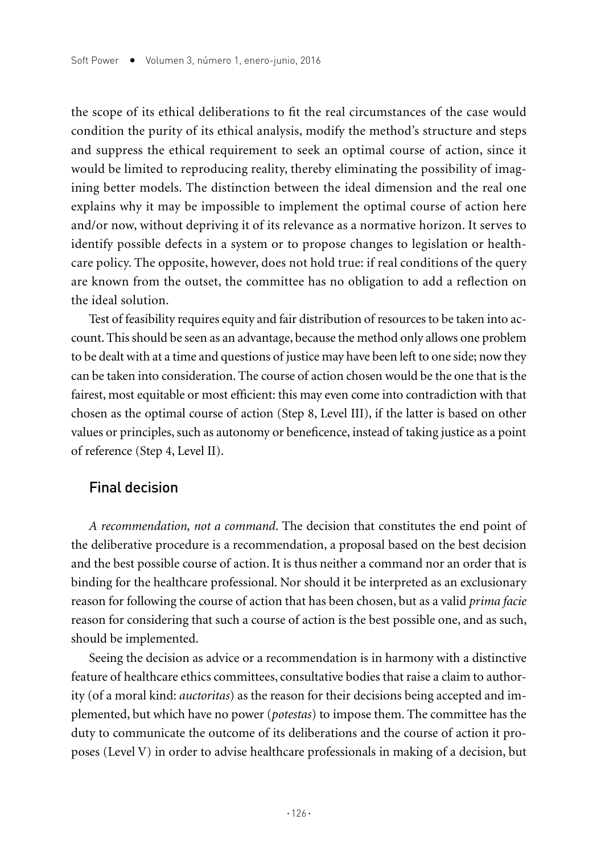the scope of its ethical deliberations to fit the real circumstances of the case would condition the purity of its ethical analysis, modify the method's structure and steps and suppress the ethical requirement to seek an optimal course of action, since it would be limited to reproducing reality, thereby eliminating the possibility of imagining better models. The distinction between the ideal dimension and the real one explains why it may be impossible to implement the optimal course of action here and/or now, without depriving it of its relevance as a normative horizon. It serves to identify possible defects in a system or to propose changes to legislation or healthcare policy. The opposite, however, does not hold true: if real conditions of the query are known from the outset, the committee has no obligation to add a reflection on the ideal solution.

Test of feasibility requires equity and fair distribution of resources to be taken into account. This should be seen as an advantage, because the method only allows one problem to be dealt with at a time and questions of justice may have been left to one side; now they can be taken into consideration. The course of action chosen would be the one that is the fairest, most equitable or most efficient: this may even come into contradiction with that chosen as the optimal course of action (Step 8, Level III), if the latter is based on other values or principles, such as autonomy or beneficence, instead of taking justice as a point of reference (Step 4, Level II).

## Final decision

*A recommendation, not a command*. The decision that constitutes the end point of the deliberative procedure is a recommendation, a proposal based on the best decision and the best possible course of action. It is thus neither a command nor an order that is binding for the healthcare professional. Nor should it be interpreted as an exclusionary reason for following the course of action that has been chosen, but as a valid *prima facie*  reason for considering that such a course of action is the best possible one, and as such, should be implemented.

Seeing the decision as advice or a recommendation is in harmony with a distinctive feature of healthcare ethics committees, consultative bodies that raise a claim to authority (of a moral kind: *auctoritas*) as the reason for their decisions being accepted and implemented, but which have no power (*potestas*) to impose them. The committee has the duty to communicate the outcome of its deliberations and the course of action it proposes (Level V) in order to advise healthcare professionals in making of a decision, but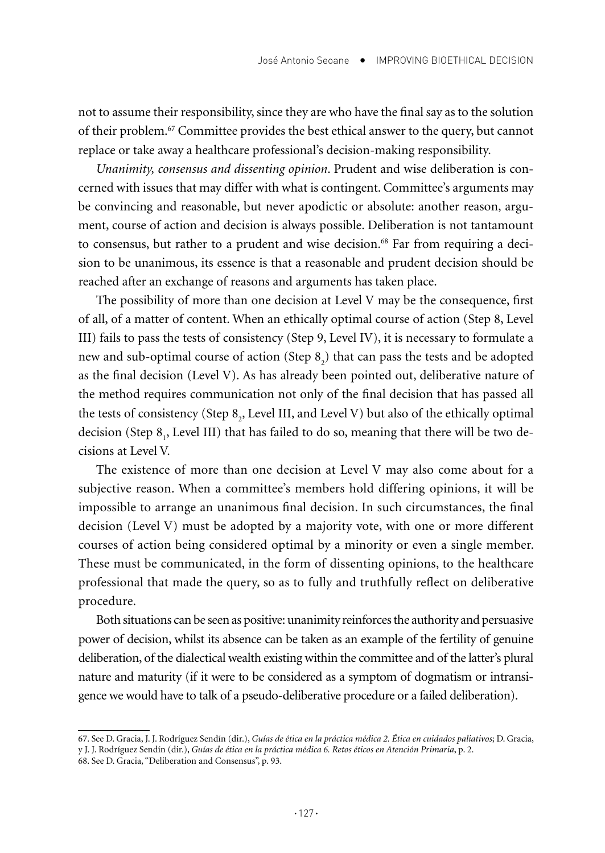not to assume their responsibility, since they are who have the final say as to the solution of their problem.67 Committee provides the best ethical answer to the query, but cannot replace or take away a healthcare professional's decision-making responsibility.

*Unanimity, consensus and dissenting opinion*. Prudent and wise deliberation is concerned with issues that may differ with what is contingent. Committee's arguments may be convincing and reasonable, but never apodictic or absolute: another reason, argument, course of action and decision is always possible. Deliberation is not tantamount to consensus, but rather to a prudent and wise decision.<sup>68</sup> Far from requiring a decision to be unanimous, its essence is that a reasonable and prudent decision should be reached after an exchange of reasons and arguments has taken place.

The possibility of more than one decision at Level V may be the consequence, first of all, of a matter of content. When an ethically optimal course of action (Step 8, Level III) fails to pass the tests of consistency (Step 9, Level IV), it is necessary to formulate a new and sub-optimal course of action (Step  $8<sub>2</sub>$ ) that can pass the tests and be adopted as the final decision (Level V). As has already been pointed out, deliberative nature of the method requires communication not only of the final decision that has passed all the tests of consistency (Step  $\mathcal{B}_2$ , Level III, and Level V) but also of the ethically optimal decision (Step  $\mathcal{B}_1$ , Level III) that has failed to do so, meaning that there will be two decisions at Level V.

The existence of more than one decision at Level V may also come about for a subjective reason. When a committee's members hold differing opinions, it will be impossible to arrange an unanimous final decision. In such circumstances, the final decision (Level V) must be adopted by a majority vote, with one or more different courses of action being considered optimal by a minority or even a single member. These must be communicated, in the form of dissenting opinions, to the healthcare professional that made the query, so as to fully and truthfully reflect on deliberative procedure.

Both situations can be seen as positive: unanimity reinforces the authority and persuasive power of decision, whilst its absence can be taken as an example of the fertility of genuine deliberation, of the dialectical wealth existing within the committee and of the latter's plural nature and maturity (if it were to be considered as a symptom of dogmatism or intransigence we would have to talk of a pseudo-deliberative procedure or a failed deliberation).

<sup>67.</sup> See D. Gracia, J. J. Rodríguez Sendín (dir.), *Guías de ética en la práctica médica 2. Ética en cuidados paliativos*; D. Gracia,

y J. J. Rodríguez Sendín (dir.), *Guías de ética en la práctica médica 6. Retos éticos en Atención Primaria*, p. 2.

<sup>68.</sup> See D. Gracia, "Deliberation and Consensus", p. 93.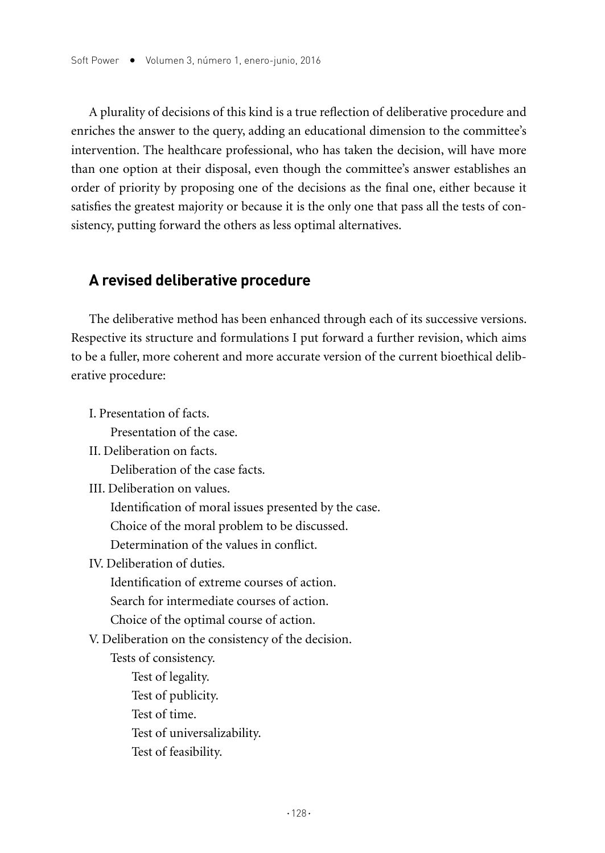A plurality of decisions of this kind is a true reflection of deliberative procedure and enriches the answer to the query, adding an educational dimension to the committee's intervention. The healthcare professional, who has taken the decision, will have more than one option at their disposal, even though the committee's answer establishes an order of priority by proposing one of the decisions as the final one, either because it satisfies the greatest majority or because it is the only one that pass all the tests of consistency, putting forward the others as less optimal alternatives.

## **A revised deliberative procedure**

The deliberative method has been enhanced through each of its successive versions. Respective its structure and formulations I put forward a further revision, which aims to be a fuller, more coherent and more accurate version of the current bioethical deliberative procedure:

I. Presentation of facts.

Presentation of the case.

II. Deliberation on facts.

Deliberation of the case facts.

III. Deliberation on values.

Identification of moral issues presented by the case.

Choice of the moral problem to be discussed.

Determination of the values in conflict.

IV. Deliberation of duties.

Identification of extreme courses of action.

Search for intermediate courses of action.

Choice of the optimal course of action.

V. Deliberation on the consistency of the decision.

Tests of consistency.

Test of legality. Test of publicity. Test of time. Test of universalizability. Test of feasibility.